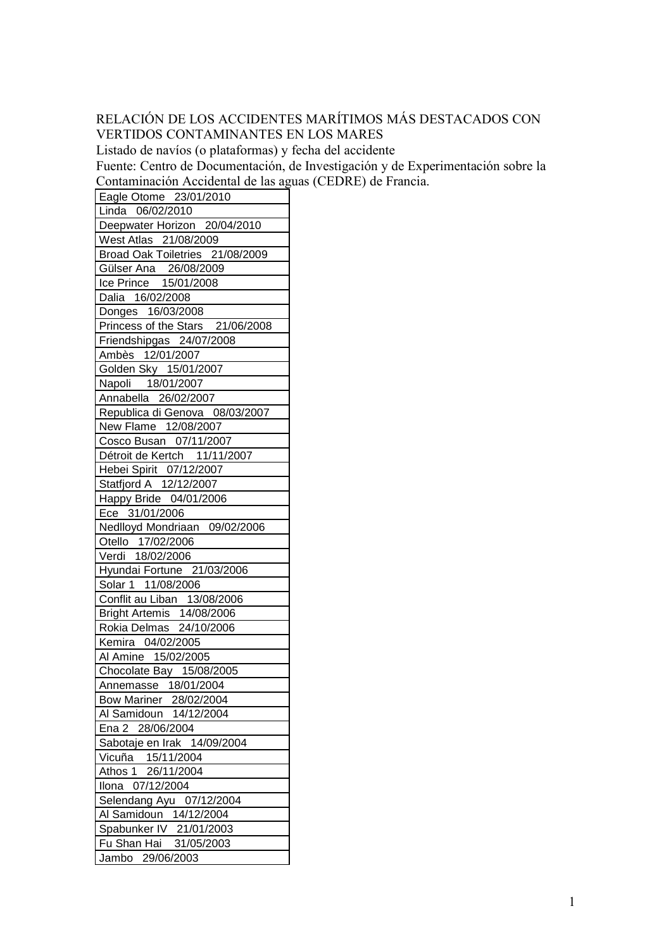## RELACIÓN DE LOS ACCIDENTES MARÍTIMOS MÁS DESTACADOS CON VERTIDOS CONTAMINANTES EN LOS MARES

Listado de navíos (o plataformas) y fecha del accidente

Fuente: Centro de Documentación, de Investigación y de Experimentación sobre la Contaminación Accidental de las aguas (CEDRE) de Francia.

Eagle Otome 23/01/2010 Linda 06/02/2010 Deepwater Horizon 20/04/2010 West Atlas 21/08/2009 Broad Oak Toiletries 21/08/2009 Gülser Ana 26/08/2009 Ice Prince 15/01/2008 Dalia 16/02/2008 Donges 16/03/2008 Princess of the Stars 21/06/2008 Friendshipgas 24/07/2008 Ambès 12/01/2007 Golden Sky 15/01/2007 Napoli 18/01/2007 Annabella 26/02/2007 Republica di Genova 08/03/2007 New Flame 12/08/2007 Cosco Busan 07/11/2007 Détroit de Kertch 11/11/2007 Hebei Spirit 07/12/2007 Statfjord A 12/12/2007 Happy Bride 04/01/2006 Ece 31/01/2006 Nedlloyd Mondriaan 09/02/2006 Otello 17/02/2006 Verdi 18/02/2006 Hyundai Fortune 21/03/2006 Solar 1 11/08/2006 Conflit au Liban 13/08/2006 Bright Artemis 14/08/2006 Rokia Delmas 24/10/2006 Kemira 04/02/2005 Al Amine 15/02/2005 Chocolate Bay 15/08/2005 Annemasse 18/01/2004 Bow Mariner 28/02/2004 Al Samidoun 14/12/2004 Ena 2 28/06/2004 Sabotaje en Irak 14/09/2004 Vicuña 15/11/2004 Athos 1 26/11/2004 Ilona 07/12/2004 Selendang Ayu 07/12/2004 Al Samidoun 14/12/2004 Spabunker IV 21/01/2003 Fu Shan Hai 31/05/2003 Jambo 29/06/2003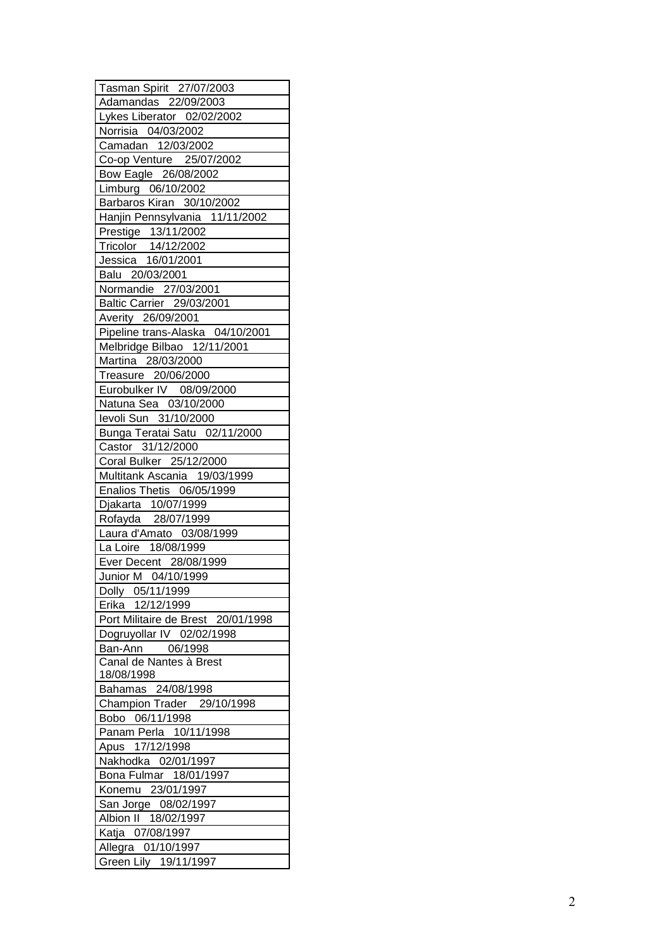| Tasman Spirit 27/07/2003                               |
|--------------------------------------------------------|
| Adamandas 22/09/2003                                   |
| Lykes Liberator 02/02/2002                             |
| Norrisia 04/03/2002                                    |
| Camadan 12/03/2002                                     |
| Co-op Venture 25/07/2002                               |
| Bow Eagle 26/08/2002                                   |
| Limburg 06/10/2002                                     |
| Barbaros Kiran 30/10/2002                              |
| Hanjin Pennsylvania 11/11/2002                         |
| Prestige 13/11/2002                                    |
| Tricolor  14/12/2002                                   |
| Jessica 16/01/2001                                     |
| Balu 20/03/2001                                        |
| Normandie 27/03/2001                                   |
| Baltic Carrier 29/03/2001                              |
|                                                        |
| Averity 26/09/2001<br>Pipeline trans-Alaska 04/10/2001 |
|                                                        |
| Melbridge Bilbao 12/11/2001                            |
| Martina 28/03/2000                                     |
| Treasure 20/06/2000                                    |
| Eurobulker IV 08/09/2000                               |
| Natuna Sea 03/10/2000                                  |
| levoli Sun 31/10/2000                                  |
| Bunga Teratai Satu 02/11/2000                          |
| Castor 31/12/2000                                      |
| Coral Bulker 25/12/2000                                |
| Multitank Ascania 19/03/1999                           |
| Enalios Thetis 06/05/1999                              |
| Djakarta 10/07/1999<br>Rofayda 28/07/1999              |
|                                                        |
| Laura d'Amato 03/08/1999                               |
| La Loire 18/08/1999                                    |
| Ever Decent 28/08/1999                                 |
| Junior M 04/10/1999                                    |
| Dolly 05/11/1999                                       |
| Erika 12/12/1999                                       |
| Port Militaire de Brest 20/01/1998                     |
| Dogruyollar IV 02/02/1998                              |
| Ban-Ann 06/1998                                        |
| Canal de Nantes à Brest                                |
| 18/08/1998                                             |
| Bahamas 24/08/1998                                     |
| Champion Trader 29/10/1998                             |
| Bobo 06/11/1998                                        |
| Panam Perla 10/11/1998                                 |
| Apus 17/12/1998                                        |
| Nakhodka 02/01/1997                                    |
| Bona Fulmar 18/01/1997                                 |
| Konemu 23/01/1997                                      |
|                                                        |
| San Jorge 08/02/1997                                   |
| Albion II 18/02/1997                                   |
| Katja 07/08/1997                                       |
| Allegra 01/10/1997                                     |
| Green Lily 19/11/1997                                  |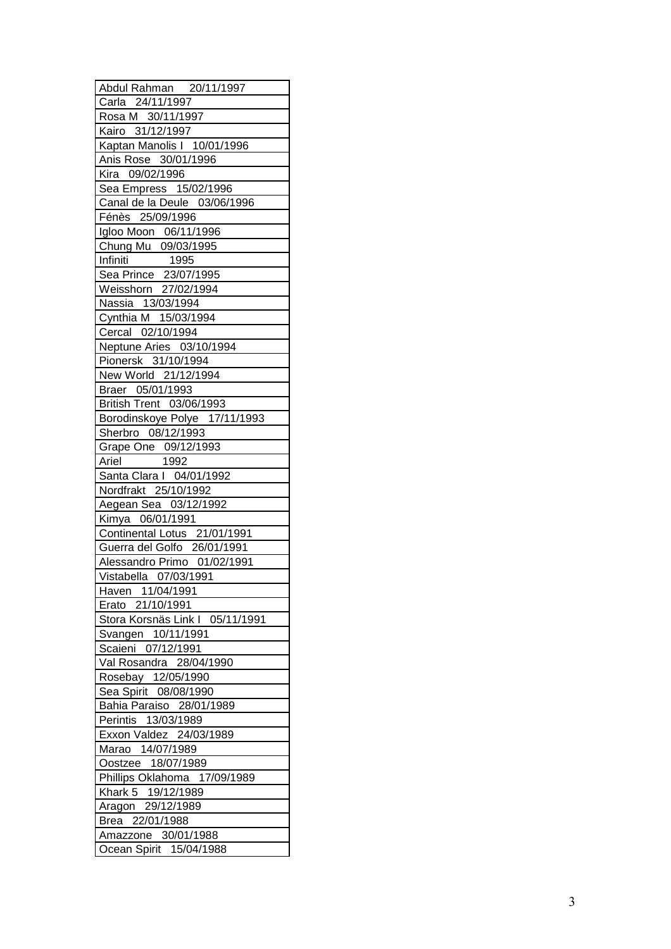| Abdul Rahman 20/11/1997                                        |
|----------------------------------------------------------------|
| Carla 24/11/1997                                               |
| Rosa M 30/11/1997                                              |
| Kairo 31/12/1997                                               |
| Kaptan Manolis   10/01/1996                                    |
| Anis Rose 30/01/1996                                           |
| Kira 09/02/1996                                                |
| Sea Empress 15/02/1996                                         |
| Canal de la Deule 03/06/1996                                   |
| Fénès 25/09/1996                                               |
| Igloo Moon 06/11/1996                                          |
|                                                                |
| Chung Mu 09/03/1995                                            |
| Infiniti 1995<br>Sea Prince 23/07/1995<br>Weisshorn 27/02/1994 |
|                                                                |
|                                                                |
| Nassia 13/03/1994                                              |
| Cynthia M 15/03/1994                                           |
| Cercal 02/10/1994                                              |
| Neptune Aries 03/10/1994                                       |
| Pionersk 31/10/1994                                            |
| New World 21/12/1994                                           |
| Braer 05/01/1993                                               |
| British Trent 03/06/1993                                       |
| Borodinskoye Polye 17/11/1993                                  |
| Sherbro 08/12/1993                                             |
| Grape One 09/12/1993                                           |
| 1992<br>Ariel                                                  |
| Santa Clara I 04/01/1992                                       |
| Nordfrakt 25/10/1992                                           |
| Aegean Sea 03/12/1992                                          |
| Kimya 06/01/1991                                               |
| Continental Lotus 21/01/1991                                   |
| Guerra del Golfo 26/01/1991                                    |
| Alessandro Primo 01/02/1991                                    |
| Vistabella 07/03/1991                                          |
| Haven 11/04/1991                                               |
| Erato 21/10/1991                                               |
|                                                                |
| Stora Korsnäs Link I 05/11/1991                                |
| Svangen 10/11/1991                                             |
| Scaieni 07/12/1991                                             |
| Val Rosandra 28/04/1990                                        |
| Rosebay 12/05/1990                                             |
| Sea Spirit 08/08/1990                                          |
| Bahia Paraiso 28/01/1989                                       |
| Perintis 13/03/1989                                            |
| Exxon Valdez 24/03/1989                                        |
| Marao 14/07/1989                                               |
| Oostzee 18/07/1989                                             |
| Phillips Oklahoma 17/09/1989                                   |
| Khark 5 19/12/1989                                             |
| Aragon 29/12/1989                                              |
| Brea 22/01/1988                                                |
| Amazzone 30/01/1988                                            |
| Ocean Spirit 15/04/1988                                        |
|                                                                |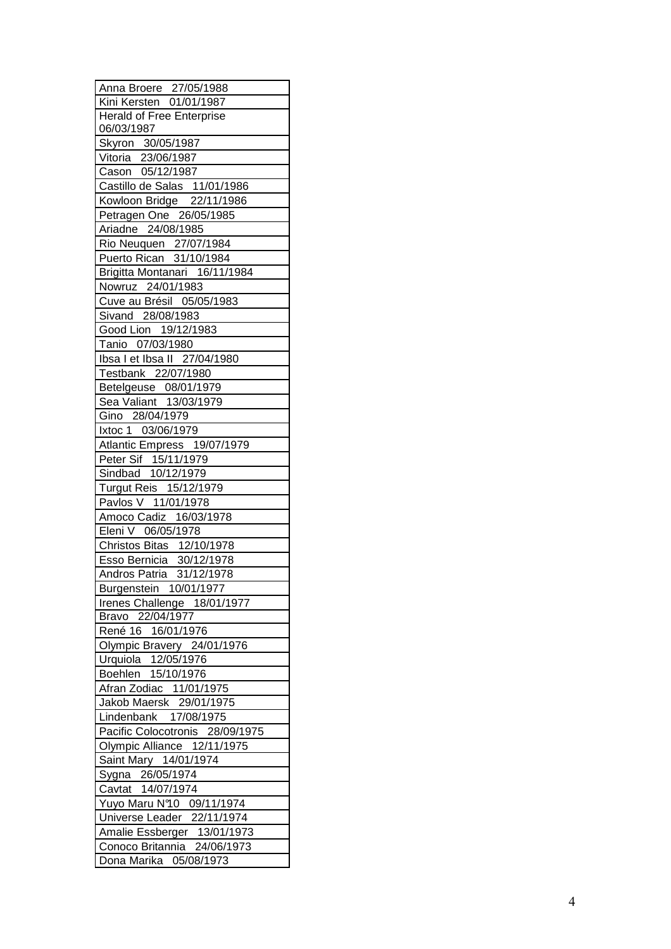| Anna Broere 27/05/1988                                |
|-------------------------------------------------------|
| Kini Kersten 01/01/1987                               |
| Herald of Free Enterprise                             |
| 06/03/1987                                            |
| Skyron 30/05/1987                                     |
| Vitoria 23/06/1987                                    |
| Cason 05/12/1987                                      |
| Castillo de Salas 11/01/1986                          |
| Kowloon Bridge 22/11/1986                             |
| Petragen One 26/05/1985                               |
| Ariadne 24/08/1985                                    |
| Rio Neuquen 27/07/1984                                |
| Puerto Rican 31/10/1984                               |
| Brigitta Montanari 16/11/1984                         |
| Nowruz 24/01/1983                                     |
| Cuve au Brésil 05/05/1983                             |
| Sivand 28/08/1983                                     |
| Good Lion 19/12/1983                                  |
| Tanio 07/03/1980                                      |
| Ibsa I et Ibsa II 27/04/1980                          |
| Testbank 22/07/1980                                   |
| Betelgeuse 08/01/1979                                 |
| Sea Valiant 13/03/1979                                |
|                                                       |
| Gino 28/04/1979                                       |
| Ixtoc 1 03/06/1979                                    |
| Atlantic Empress 19/07/1979                           |
| Peter Sif 15/11/1979                                  |
| Sindbad 10/12/1979                                    |
| Turgut Reis 15/12/1979                                |
| Pavlos V 11/01/1978                                   |
| Amoco Cadiz 16/03/1978                                |
| Eleni V 06/05/1978                                    |
| Christos Bitas 12/10/1978<br>Esso Bernicia 30/12/1978 |
|                                                       |
| Andros Patria 31/12/1978                              |
| Burgenstein 10/01/1977                                |
| Irenes Challenge 18/01/1977                           |
| Bravo 22/04/1977                                      |
| René 16 16/01/1976                                    |
| Olympic Bravery 24/01/1976                            |
| Urquiola 12/05/1976<br>Boehlen 15/10/1976             |
|                                                       |
| Afran Zodiac 11/01/1975                               |
| Jakob Maersk 29/01/1975                               |
| Lindenbank 17/08/1975                                 |
| Pacific Colocotronis 28/09/1975                       |
| Olympic Alliance 12/11/1975                           |
| Saint Mary 14/01/1974                                 |
|                                                       |
| Sygna 26/05/1974<br>Cavtat 14/07/1974                 |
|                                                       |
| Yuyo Maru Nº10 09/11/1974                             |
| Universe Leader 22/11/1974                            |
| Amalie Essberger 13/01/1973                           |
| Conoco Britannia 24/06/1973                           |
| Dona Marika 05/08/1973                                |